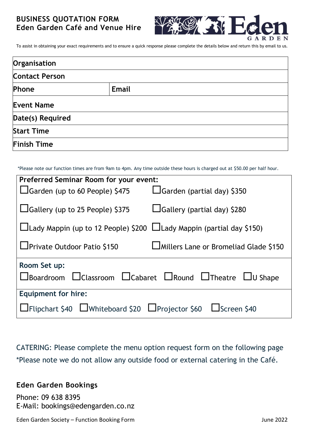# **BUSINESS QUOTATION FORM Eden Garden Café and Venue Hire**



To assist in obtaining your exact requirements and to ensure a quick response please complete the details below and return this by email to us.

| Organisation          |              |  |  |  |
|-----------------------|--------------|--|--|--|
| <b>Contact Person</b> |              |  |  |  |
| Phone                 | <b>Email</b> |  |  |  |
| <b>Event Name</b>     |              |  |  |  |
| Date(s) Required      |              |  |  |  |
| <b>Start Time</b>     |              |  |  |  |
| <b>Finish Time</b>    |              |  |  |  |

\*Please note our function times are from 9am to 4pm. Any time outside these hours is charged out at \$50.00 per half hour.

| <b>Preferred Seminar Room for your event:</b>                                               |                                                |  |  |  |  |  |
|---------------------------------------------------------------------------------------------|------------------------------------------------|--|--|--|--|--|
| $\Box$ Garden (up to 60 People) \$475                                                       | $\Box$ Garden (partial day) \$350              |  |  |  |  |  |
| $\Box$ Gallery (up to 25 People) \$375                                                      | □Gallery (partial day) \$280                   |  |  |  |  |  |
| Llady Mappin (up to 12 People) \$200 Llady Mappin (partial day \$150)                       |                                                |  |  |  |  |  |
| □ Private Outdoor Patio \$150                                                               | <b>LIMillers Lane or Bromeliad Glade \$150</b> |  |  |  |  |  |
| Room Set up:                                                                                |                                                |  |  |  |  |  |
| $\Box$ Boardroom $\Box$ Classroom $\Box$ Cabaret $\Box$ Round $\Box$ Theatre $\Box$ U Shape |                                                |  |  |  |  |  |
| <b>Equipment for hire:</b>                                                                  |                                                |  |  |  |  |  |
| LIFlipchart \$40 LIWhiteboard \$20 LIProjector \$60 LIScreen \$40                           |                                                |  |  |  |  |  |

CATERING: Please complete the menu option request form on the following page \*Please note we do not allow any outside food or external catering in the Café.

# **Eden Garden Bookings**

Phone: 09 638 8395 E-Mail: bookings@edengarden.co.nz

Eden Garden Society – Function Booking Form June 2022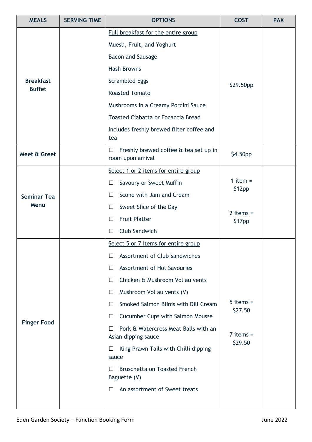| <b>MEALS</b>                      | <b>SERVING TIME</b>                       | <b>OPTIONS</b>                                                   | <b>COST</b>            | <b>PAX</b> |
|-----------------------------------|-------------------------------------------|------------------------------------------------------------------|------------------------|------------|
| <b>Breakfast</b><br><b>Buffet</b> |                                           | Full breakfast for the entire group                              |                        |            |
|                                   |                                           | Muesli, Fruit, and Yoghurt                                       |                        |            |
|                                   | <b>Bacon and Sausage</b>                  |                                                                  |                        |            |
|                                   | <b>Hash Browns</b>                        |                                                                  |                        |            |
|                                   | <b>Scrambled Eggs</b>                     | \$29.50pp                                                        |                        |            |
|                                   |                                           | <b>Roasted Tomato</b>                                            |                        |            |
|                                   | Mushrooms in a Creamy Porcini Sauce       |                                                                  |                        |            |
|                                   |                                           | <b>Toasted Ciabatta or Focaccia Bread</b>                        |                        |            |
|                                   |                                           | Includes freshly brewed filter coffee and<br>tea                 |                        |            |
| Meet & Greet                      |                                           | Freshly brewed coffee & tea set up in<br>□<br>room upon arrival  | \$4.50pp               |            |
|                                   |                                           | Select 1 or 2 items for entire group                             |                        |            |
|                                   |                                           | Savoury or Sweet Muffin<br>□                                     | 1 item $=$<br>\$12pp   |            |
| <b>Seminar Tea</b>                |                                           | Scone with Jam and Cream<br>Ш                                    |                        |            |
| Menu                              |                                           | Sweet Slice of the Day<br>$\Box$                                 | 2 items $=$<br>\$17pp  |            |
|                                   |                                           | <b>Fruit Platter</b><br>□                                        |                        |            |
|                                   |                                           | <b>Club Sandwich</b><br>□                                        |                        |            |
|                                   |                                           | Select 5 or 7 items for entire group                             |                        |            |
|                                   |                                           | Assortment of Club Sandwiches<br>□                               |                        |            |
|                                   |                                           | Assortment of Hot Savouries<br>□                                 |                        |            |
| <b>Finger Food</b>                |                                           | Chicken & Mushroom Vol au vents<br>$\Box$                        |                        |            |
|                                   |                                           | Mushroom Vol au vents (V)<br>ப                                   |                        |            |
|                                   | Smoked Salmon Blinis with Dill Cream<br>Ш | $5$ items =<br>\$27.50                                           |                        |            |
|                                   |                                           | <b>Cucumber Cups with Salmon Mousse</b><br>□                     |                        |            |
|                                   |                                           | Pork & Watercress Meat Balls with an<br>□<br>Asian dipping sauce | $7$ items =<br>\$29.50 |            |
|                                   |                                           | King Prawn Tails with Chilli dipping<br>ப<br>sauce               |                        |            |
|                                   |                                           | <b>Bruschetta on Toasted French</b><br>П<br>Baguette (V)         |                        |            |
|                                   |                                           | An assortment of Sweet treats<br>□                               |                        |            |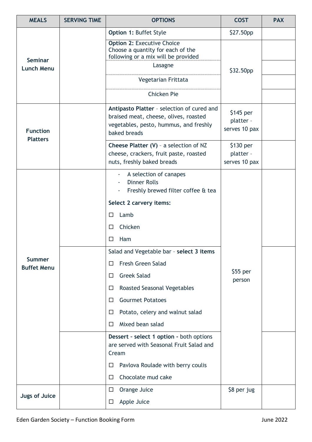| <b>MEALS</b>                       | <b>SERVING TIME</b> | <b>OPTIONS</b>                                                                                                                                | <b>COST</b>                              | <b>PAX</b> |
|------------------------------------|---------------------|-----------------------------------------------------------------------------------------------------------------------------------------------|------------------------------------------|------------|
| <b>Seminar</b>                     |                     | Option 1: Buffet Style                                                                                                                        | \$27.50pp                                |            |
|                                    |                     | <b>Option 2: Executive Choice</b><br>Choose a quantity for each of the<br>following or a mix will be provided                                 | \$32.50pp                                |            |
| <b>Lunch Menu</b>                  |                     | Lasagne                                                                                                                                       |                                          |            |
|                                    |                     | Vegetarian Frittata                                                                                                                           |                                          |            |
|                                    |                     | <b>Chicken Pie</b>                                                                                                                            |                                          |            |
| <b>Function</b><br><b>Platters</b> |                     | Antipasto Platter - selection of cured and<br>braised meat, cheese, olives, roasted<br>vegetables, pesto, hummus, and freshly<br>baked breads | $$145$ per<br>platter -<br>serves 10 pax |            |
|                                    |                     | Cheese Platter (V) - a selection of NZ<br>cheese, crackers, fruit paste, roasted<br>nuts, freshly baked breads                                | \$130 per<br>platter -<br>serves 10 pax  |            |
|                                    |                     | A selection of canapes<br><b>Dinner Rolls</b><br>Freshly brewed filter coffee & tea                                                           | $$55$ per<br>person                      |            |
|                                    |                     | Select 2 carvery items:                                                                                                                       |                                          |            |
|                                    |                     | Lamb<br>□                                                                                                                                     |                                          |            |
|                                    |                     | Chicken<br>□                                                                                                                                  |                                          |            |
|                                    |                     | Ham<br>$\Box$                                                                                                                                 |                                          |            |
|                                    |                     | Salad and Vegetable bar - select 3 items                                                                                                      |                                          |            |
| Summer<br><b>Buffet Menu</b>       |                     | <b>Fresh Green Salad</b><br>□                                                                                                                 |                                          |            |
|                                    |                     | <b>Greek Salad</b><br>□                                                                                                                       |                                          |            |
|                                    |                     | <b>Roasted Seasonal Vegetables</b><br>□                                                                                                       |                                          |            |
|                                    |                     | <b>Gourmet Potatoes</b><br>□                                                                                                                  |                                          |            |
|                                    |                     | Potato, celery and walnut salad<br>□                                                                                                          |                                          |            |
|                                    |                     | Mixed bean salad<br>□                                                                                                                         |                                          |            |
|                                    |                     | Dessert - select 1 option - both options<br>are served with Seasonal Fruit Salad and<br>Cream                                                 |                                          |            |
|                                    |                     | Pavlova Roulade with berry coulis<br>□                                                                                                        |                                          |            |
|                                    |                     | Chocolate mud cake<br>□                                                                                                                       |                                          |            |
| <b>Jugs of Juice</b>               |                     | Orange Juice<br>$\Box$                                                                                                                        | \$8 per jug                              |            |
|                                    |                     | Apple Juice<br>□                                                                                                                              |                                          |            |